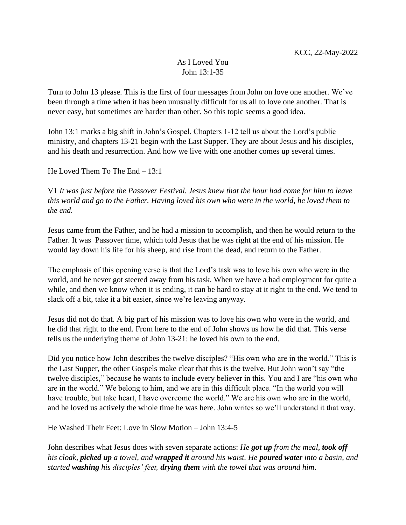## As I Loved You John 13:1-35

Turn to John 13 please. This is the first of four messages from John on love one another. We've been through a time when it has been unusually difficult for us all to love one another. That is never easy, but sometimes are harder than other. So this topic seems a good idea.

John 13:1 marks a big shift in John's Gospel. Chapters 1-12 tell us about the Lord's public ministry, and chapters 13-21 begin with the Last Supper. They are about Jesus and his disciples, and his death and resurrection. And how we live with one another comes up several times.

He Loved Them To The End – 13:1

V1 *It was just before the Passover Festival. Jesus knew that the hour had come for him to leave this world and go to the Father. Having loved his own who were in the world, he loved them to the end.*

Jesus came from the Father, and he had a mission to accomplish, and then he would return to the Father. It was Passover time, which told Jesus that he was right at the end of his mission. He would lay down his life for his sheep, and rise from the dead, and return to the Father.

The emphasis of this opening verse is that the Lord's task was to love his own who were in the world, and he never got steered away from his task. When we have a had employment for quite a while, and then we know when it is ending, it can be hard to stay at it right to the end. We tend to slack off a bit, take it a bit easier, since we're leaving anyway.

Jesus did not do that. A big part of his mission was to love his own who were in the world, and he did that right to the end. From here to the end of John shows us how he did that. This verse tells us the underlying theme of John 13-21: he loved his own to the end.

Did you notice how John describes the twelve disciples? "His own who are in the world." This is the Last Supper, the other Gospels make clear that this is the twelve. But John won't say "the twelve disciples," because he wants to include every believer in this. You and I are "his own who are in the world." We belong to him, and we are in this difficult place. "In the world you will have trouble, but take heart, I have overcome the world." We are his own who are in the world, and he loved us actively the whole time he was here. John writes so we'll understand it that way.

He Washed Their Feet: Love in Slow Motion – John 13:4-5

John describes what Jesus does with seven separate actions: *He got up from the meal, took off his cloak, picked up a towel, and wrapped it around his waist. He poured water into a basin, and started washing his disciples' feet, drying them with the towel that was around him*.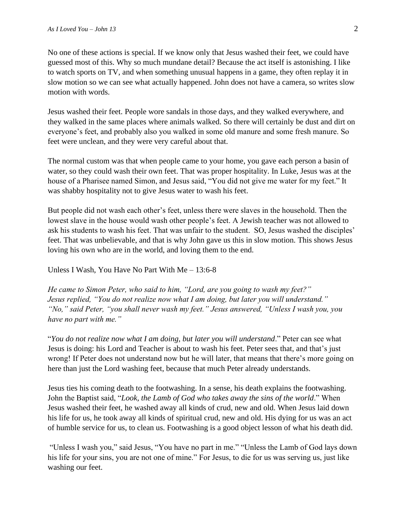No one of these actions is special. If we know only that Jesus washed their feet, we could have guessed most of this. Why so much mundane detail? Because the act itself is astonishing. I like to watch sports on TV, and when something unusual happens in a game, they often replay it in slow motion so we can see what actually happened. John does not have a camera, so writes slow motion with words.

Jesus washed their feet. People wore sandals in those days, and they walked everywhere, and they walked in the same places where animals walked. So there will certainly be dust and dirt on everyone's feet, and probably also you walked in some old manure and some fresh manure. So feet were unclean, and they were very careful about that.

The normal custom was that when people came to your home, you gave each person a basin of water, so they could wash their own feet. That was proper hospitality. In Luke, Jesus was at the house of a Pharisee named Simon, and Jesus said, "You did not give me water for my feet." It was shabby hospitality not to give Jesus water to wash his feet.

But people did not wash each other's feet, unless there were slaves in the household. Then the lowest slave in the house would wash other people's feet. A Jewish teacher was not allowed to ask his students to wash his feet. That was unfair to the student. SO, Jesus washed the disciples' feet. That was unbelievable, and that is why John gave us this in slow motion. This shows Jesus loving his own who are in the world, and loving them to the end.

Unless I Wash, You Have No Part With Me – 13:6-8

*He came to Simon Peter, who said to him, "Lord, are you going to wash my feet?" Jesus replied, "You do not realize now what I am doing, but later you will understand." "No," said Peter, "you shall never wash my feet." Jesus answered, "Unless I wash you, you have no part with me."*

"*You do not realize now what I am doing, but later you will understand*." Peter can see what Jesus is doing: his Lord and Teacher is about to wash his feet. Peter sees that, and that's just wrong! If Peter does not understand now but he will later, that means that there's more going on here than just the Lord washing feet, because that much Peter already understands.

Jesus ties his coming death to the footwashing. In a sense, his death explains the footwashing. John the Baptist said, "*Look, the Lamb of God who takes away the sins of the world*." When Jesus washed their feet, he washed away all kinds of crud, new and old. When Jesus laid down his life for us, he took away all kinds of spiritual crud, new and old. His dying for us was an act of humble service for us, to clean us. Footwashing is a good object lesson of what his death did.

"Unless I wash you," said Jesus, "You have no part in me." "Unless the Lamb of God lays down his life for your sins, you are not one of mine." For Jesus, to die for us was serving us, just like washing our feet.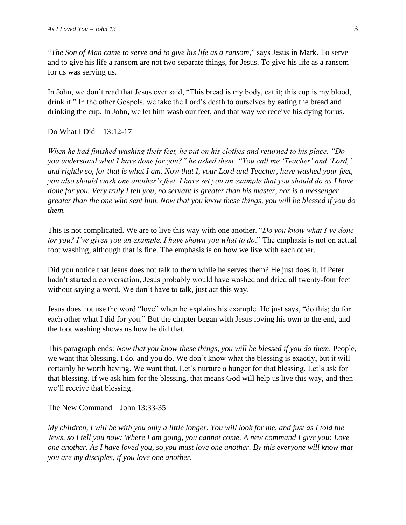"*The Son of Man came to serve and to give his life as a ransom*," says Jesus in Mark. To serve and to give his life a ransom are not two separate things, for Jesus. To give his life as a ransom for us was serving us.

In John, we don't read that Jesus ever said, "This bread is my body, eat it; this cup is my blood, drink it." In the other Gospels, we take the Lord's death to ourselves by eating the bread and drinking the cup. In John, we let him wash our feet, and that way we receive his dying for us.

## Do What I Did – 13:12-17

*When he had finished washing their feet, he put on his clothes and returned to his place. "Do you understand what I have done for you?" he asked them. "You call me 'Teacher' and 'Lord,' and rightly so, for that is what I am. Now that I, your Lord and Teacher, have washed your feet, you also should wash one another's feet. I have set you an example that you should do as I have done for you. Very truly I tell you, no servant is greater than his master, nor is a messenger greater than the one who sent him. Now that you know these things, you will be blessed if you do them.*

This is not complicated. We are to live this way with one another. "*Do you know what I've done for you? I've given you an example. I have shown you what to do*." The emphasis is not on actual foot washing, although that is fine. The emphasis is on how we live with each other.

Did you notice that Jesus does not talk to them while he serves them? He just does it. If Peter hadn't started a conversation, Jesus probably would have washed and dried all twenty-four feet without saying a word. We don't have to talk, just act this way.

Jesus does not use the word "love" when he explains his example. He just says, "do this; do for each other what I did for you." But the chapter began with Jesus loving his own to the end, and the foot washing shows us how he did that.

This paragraph ends: *Now that you know these things, you will be blessed if you do them*. People, we want that blessing. I do, and you do. We don't know what the blessing is exactly, but it will certainly be worth having. We want that. Let's nurture a hunger for that blessing. Let's ask for that blessing. If we ask him for the blessing, that means God will help us live this way, and then we'll receive that blessing.

The New Command – John 13:33-35

*My children, I will be with you only a little longer. You will look for me, and just as I told the Jews, so I tell you now: Where I am going, you cannot come. A new command I give you: Love one another. As I have loved you, so you must love one another. By this everyone will know that you are my disciples, if you love one another.*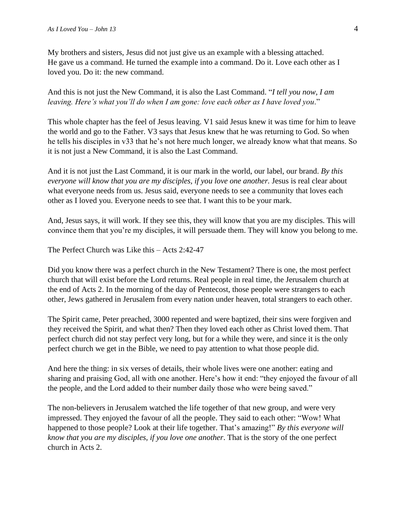My brothers and sisters, Jesus did not just give us an example with a blessing attached. He gave us a command. He turned the example into a command. Do it. Love each other as I loved you. Do it: the new command.

And this is not just the New Command, it is also the Last Command. "*I tell you now, I am leaving. Here's what you'll do when I am gone: love each other as I have loved you*."

This whole chapter has the feel of Jesus leaving. V1 said Jesus knew it was time for him to leave the world and go to the Father. V3 says that Jesus knew that he was returning to God. So when he tells his disciples in v33 that he's not here much longer, we already know what that means. So it is not just a New Command, it is also the Last Command.

And it is not just the Last Command, it is our mark in the world, our label, our brand. *By this everyone will know that you are my disciples, if you love one another.* Jesus is real clear about what everyone needs from us. Jesus said, everyone needs to see a community that loves each other as I loved you. Everyone needs to see that. I want this to be your mark.

And, Jesus says, it will work. If they see this, they will know that you are my disciples. This will convince them that you're my disciples, it will persuade them. They will know you belong to me.

The Perfect Church was Like this – Acts 2:42-47

Did you know there was a perfect church in the New Testament? There is one, the most perfect church that will exist before the Lord returns. Real people in real time, the Jerusalem church at the end of Acts 2. In the morning of the day of Pentecost, those people were strangers to each other, Jews gathered in Jerusalem from every nation under heaven, total strangers to each other.

The Spirit came, Peter preached, 3000 repented and were baptized, their sins were forgiven and they received the Spirit, and what then? Then they loved each other as Christ loved them. That perfect church did not stay perfect very long, but for a while they were, and since it is the only perfect church we get in the Bible, we need to pay attention to what those people did.

And here the thing: in six verses of details, their whole lives were one another: eating and sharing and praising God, all with one another. Here's how it end: "they enjoyed the favour of all the people, and the Lord added to their number daily those who were being saved."

The non-believers in Jerusalem watched the life together of that new group, and were very impressed. They enjoyed the favour of all the people. They said to each other: "Wow! What happened to those people? Look at their life together. That's amazing!" *By this everyone will know that you are my disciples, if you love one another*. That is the story of the one perfect church in Acts 2.